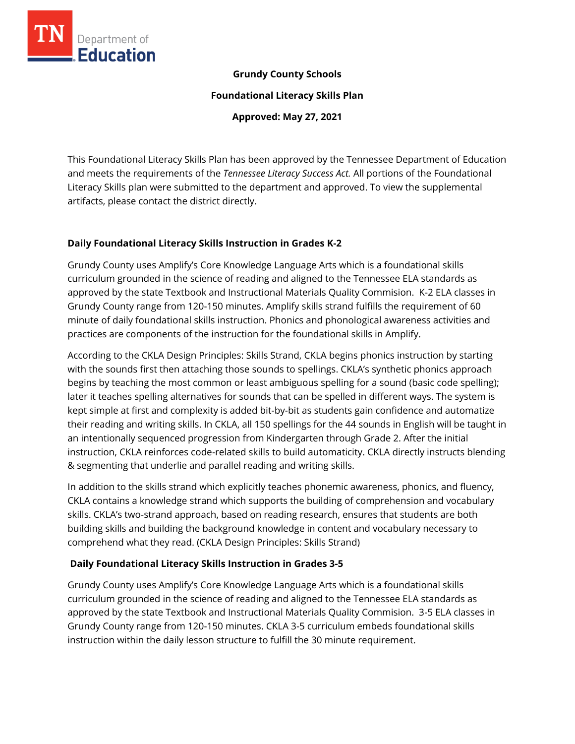

#### **Grundy County Schools**

**Foundational Literacy Skills Plan**

**Approved: May 27, 2021**

This Foundational Literacy Skills Plan has been approved by the Tennessee Department of Education and meets the requirements of the *Tennessee Literacy Success Act.* All portions of the Foundational Literacy Skills plan were submitted to the department and approved. To view the supplemental artifacts, please contact the district directly.

#### **Daily Foundational Literacy Skills Instruction in Grades K-2**

Grundy County uses Amplify's Core Knowledge Language Arts which is a foundational skills curriculum grounded in the science of reading and aligned to the Tennessee ELA standards as approved by the state Textbook and Instructional Materials Quality Commision. K-2 ELA classes in Grundy County range from 120-150 minutes. Amplify skills strand fulfills the requirement of 60 minute of daily foundational skills instruction. Phonics and phonological awareness activities and practices are components of the instruction for the foundational skills in Amplify.

According to the CKLA Design Principles: Skills Strand, CKLA begins phonics instruction by starting with the sounds first then attaching those sounds to spellings. CKLA's synthetic phonics approach begins by teaching the most common or least ambiguous spelling for a sound (basic code spelling); later it teaches spelling alternatives for sounds that can be spelled in different ways. The system is kept simple at first and complexity is added bit-by-bit as students gain confidence and automatize their reading and writing skills. In CKLA, all 150 spellings for the 44 sounds in English will be taught in an intentionally sequenced progression from Kindergarten through Grade 2. After the initial instruction, CKLA reinforces code-related skills to build automaticity. CKLA directly instructs blending & segmenting that underlie and parallel reading and writing skills.

In addition to the skills strand which explicitly teaches phonemic awareness, phonics, and fluency, CKLA contains a knowledge strand which supports the building of comprehension and vocabulary skills. CKLA's two-strand approach, based on reading research, ensures that students are both building skills and building the background knowledge in content and vocabulary necessary to comprehend what they read. (CKLA Design Principles: Skills Strand)

# **Daily Foundational Literacy Skills Instruction in Grades 3-5**

Grundy County uses Amplify's Core Knowledge Language Arts which is a foundational skills curriculum grounded in the science of reading and aligned to the Tennessee ELA standards as approved by the state Textbook and Instructional Materials Quality Commision. 3-5 ELA classes in Grundy County range from 120-150 minutes. CKLA 3-5 curriculum embeds foundational skills instruction within the daily lesson structure to fulfill the 30 minute requirement.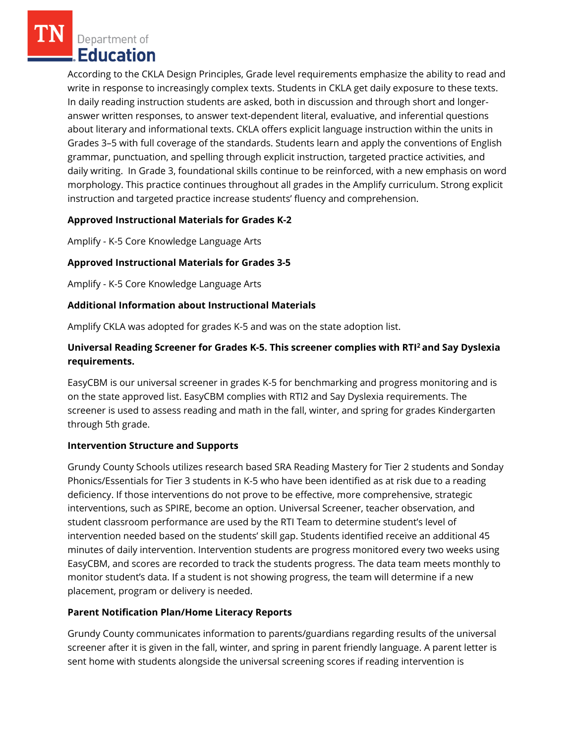Department of **Education** 

According to the CKLA Design Principles, Grade level requirements emphasize the ability to read and write in response to increasingly complex texts. Students in CKLA get daily exposure to these texts. In daily reading instruction students are asked, both in discussion and through short and longeranswer written responses, to answer text-dependent literal, evaluative, and inferential questions about literary and informational texts. CKLA offers explicit language instruction within the units in Grades 3–5 with full coverage of the standards. Students learn and apply the conventions of English grammar, punctuation, and spelling through explicit instruction, targeted practice activities, and daily writing. In Grade 3, foundational skills continue to be reinforced, with a new emphasis on word morphology. This practice continues throughout all grades in the Amplify curriculum. Strong explicit instruction and targeted practice increase students' fluency and comprehension.

## **Approved Instructional Materials for Grades K-2**

Amplify - K-5 Core Knowledge Language Arts

# **Approved Instructional Materials for Grades 3-5**

Amplify - K-5 Core Knowledge Language Arts

## **Additional Information about Instructional Materials**

Amplify CKLA was adopted for grades K-5 and was on the state adoption list.

# **Universal Reading Screener for Grades K-5. This screener complies with RTI<sup>2</sup>and Say Dyslexia requirements.**

EasyCBM is our universal screener in grades K-5 for benchmarking and progress monitoring and is on the state approved list. EasyCBM complies with RTI2 and Say Dyslexia requirements. The screener is used to assess reading and math in the fall, winter, and spring for grades Kindergarten through 5th grade.

#### **Intervention Structure and Supports**

Grundy County Schools utilizes research based SRA Reading Mastery for Tier 2 students and Sonday Phonics/Essentials for Tier 3 students in K-5 who have been identified as at risk due to a reading deficiency. If those interventions do not prove to be effective, more comprehensive, strategic interventions, such as SPIRE, become an option. Universal Screener, teacher observation, and student classroom performance are used by the RTI Team to determine student's level of intervention needed based on the students' skill gap. Students identified receive an additional 45 minutes of daily intervention. Intervention students are progress monitored every two weeks using EasyCBM, and scores are recorded to track the students progress. The data team meets monthly to monitor student's data. If a student is not showing progress, the team will determine if a new placement, program or delivery is needed.

# **Parent Notification Plan/Home Literacy Reports**

Grundy County communicates information to parents/guardians regarding results of the universal screener after it is given in the fall, winter, and spring in parent friendly language. A parent letter is sent home with students alongside the universal screening scores if reading intervention is